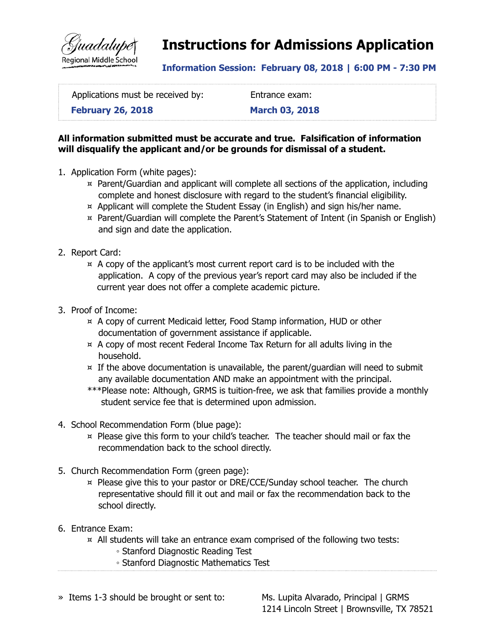

### **Instructions for Admissions Application**

**Information Session: February 08, 2018 | 6:00 PM - 7:30 PM**

| Applications must be received by: | Entrance exam:        |
|-----------------------------------|-----------------------|
| <b>February 26, 2018</b>          | <b>March 03, 2018</b> |

#### **All information submitted must be accurate and true. Falsification of information will disqualify the applicant and/or be grounds for dismissal of a student.**

- 1. Application Form (white pages):
	- ¤ Parent/Guardian and applicant will complete all sections of the application, including complete and honest disclosure with regard to the student's financial eligibility.
	- ¤ Applicant will complete the Student Essay (in English) and sign his/her name.
	- ¤ Parent/Guardian will complete the Parent's Statement of Intent (in Spanish or English) and sign and date the application.
- 2. Report Card:
	- ¤ A copy of the applicant's most current report card is to be included with the application. A copy of the previous year's report card may also be included if the current year does not offer a complete academic picture.
- 3. Proof of Income:
	- ¤ A copy of current Medicaid letter, Food Stamp information, HUD or other documentation of government assistance if applicable.
	- ¤ A copy of most recent Federal Income Tax Return for all adults living in the household.
	- $x$  If the above documentation is unavailable, the parent/guardian will need to submit any available documentation AND make an appointment with the principal.
	- \*\*\*Please note: Although, GRMS is tuition-free, we ask that families provide a monthly student service fee that is determined upon admission.
- 4. School Recommendation Form (blue page):
	- ¤ Please give this form to your child's teacher. The teacher should mail or fax the recommendation back to the school directly.
- 5. Church Recommendation Form (green page):
	- ¤ Please give this to your pastor or DRE/CCE/Sunday school teacher. The church representative should fill it out and mail or fax the recommendation back to the school directly.
- 6. Entrance Exam:
	- $x$  All students will take an entrance exam comprised of the following two tests:
		- Stanford Diagnostic Reading Test
		- Stanford Diagnostic Mathematics Test

 1214 Lincoln Street | Brownsville, TX 78521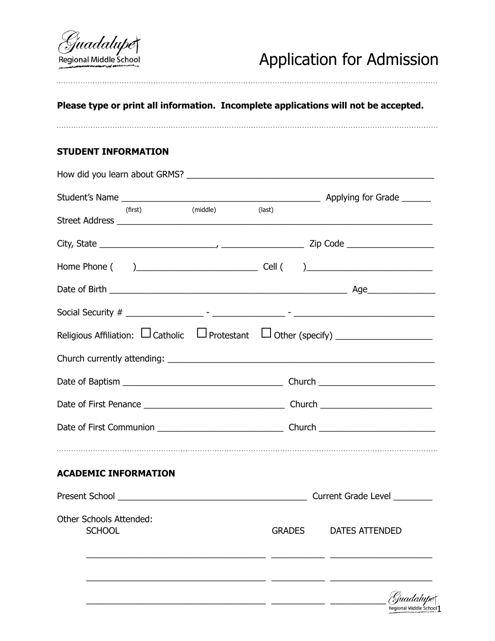Guadalupe

# Application for Admission

### **Please type or print all information. Incomplete applications will not be accepted.**

#### **STUDENT INFORMATION**

| (first)                                         | (middle) | (last) |                       |
|-------------------------------------------------|----------|--------|-----------------------|
|                                                 |          |        |                       |
|                                                 |          |        |                       |
|                                                 |          |        |                       |
|                                                 |          |        |                       |
|                                                 |          |        |                       |
|                                                 |          |        |                       |
|                                                 |          |        |                       |
|                                                 |          |        |                       |
|                                                 |          |        |                       |
| <b>ACADEMIC INFORMATION</b>                     |          |        |                       |
|                                                 |          |        |                       |
| <b>Other Schools Attended:</b><br><b>SCHOOL</b> |          |        | GRADES DATES ATTENDED |
|                                                 |          |        | <i>Guadalupe</i>      |
|                                                 |          |        |                       |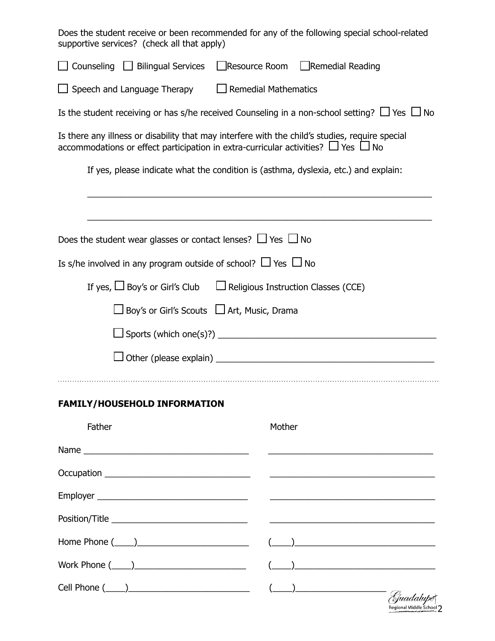| supportive services? (check all that apply)                             | Does the student receive or been recommended for any of the following special school-related                                                                                                                                                                                                                                                        |
|-------------------------------------------------------------------------|-----------------------------------------------------------------------------------------------------------------------------------------------------------------------------------------------------------------------------------------------------------------------------------------------------------------------------------------------------|
| $\Box$ Counseling $\Box$ Bilingual Services                             | Resource Room<br>$\Box$ Remedial Reading                                                                                                                                                                                                                                                                                                            |
| $\Box$ Speech and Language Therapy $\Box$ Remedial Mathematics          |                                                                                                                                                                                                                                                                                                                                                     |
|                                                                         | Is the student receiving or has s/he received Counseling in a non-school setting? $\Box$ Yes $\Box$ No                                                                                                                                                                                                                                              |
|                                                                         | Is there any illness or disability that may interfere with the child's studies, require special<br>accommodations or effect participation in extra-curricular activities? $\Box$ Yes $\Box$ No                                                                                                                                                      |
|                                                                         | If yes, please indicate what the condition is (asthma, dyslexia, etc.) and explain:                                                                                                                                                                                                                                                                 |
| Does the student wear glasses or contact lenses? $\Box$ Yes $\Box$ No   |                                                                                                                                                                                                                                                                                                                                                     |
| Is s/he involved in any program outside of school? $\Box$ Yes $\Box$ No |                                                                                                                                                                                                                                                                                                                                                     |
|                                                                         | If yes, $\Box$ Boy's or Girl's Club $\Box$ Religious Instruction Classes (CCE)                                                                                                                                                                                                                                                                      |
| $\Box$ Boy's or Girl's Scouts $\Box$ Art, Music, Drama                  |                                                                                                                                                                                                                                                                                                                                                     |
|                                                                         |                                                                                                                                                                                                                                                                                                                                                     |
|                                                                         |                                                                                                                                                                                                                                                                                                                                                     |
| <b>FAMILY/HOUSEHOLD INFORMATION</b>                                     |                                                                                                                                                                                                                                                                                                                                                     |
| Father                                                                  | Mother                                                                                                                                                                                                                                                                                                                                              |
|                                                                         |                                                                                                                                                                                                                                                                                                                                                     |
|                                                                         |                                                                                                                                                                                                                                                                                                                                                     |
|                                                                         |                                                                                                                                                                                                                                                                                                                                                     |
| Position/Title ___________________________________                      | <u> 1989 - Johann Barn, fransk politik formuler (d. 1989)</u>                                                                                                                                                                                                                                                                                       |
|                                                                         | $\begin{picture}(20,10) \put(0,0){\line(1,0){10}} \put(15,0){\line(1,0){10}} \put(15,0){\line(1,0){10}} \put(15,0){\line(1,0){10}} \put(15,0){\line(1,0){10}} \put(15,0){\line(1,0){10}} \put(15,0){\line(1,0){10}} \put(15,0){\line(1,0){10}} \put(15,0){\line(1,0){10}} \put(15,0){\line(1,0){10}} \put(15,0){\line(1,0){10}} \put(15,0){\line(1$ |
|                                                                         |                                                                                                                                                                                                                                                                                                                                                     |
|                                                                         | <del>-</del> Guadalu<br>egional Middle School                                                                                                                                                                                                                                                                                                       |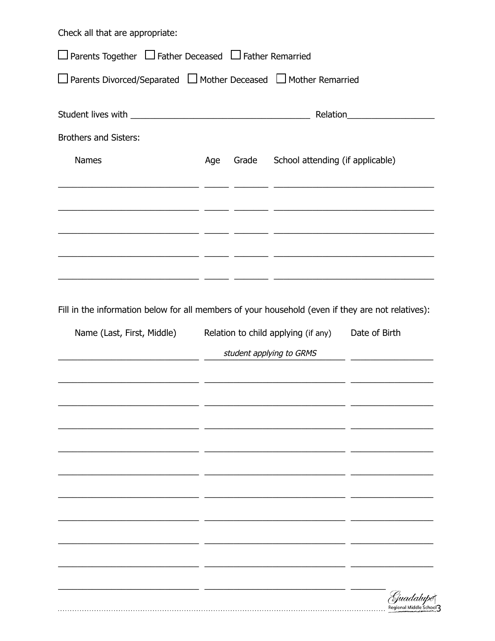| Check all that are appropriate:                                                                                                                                                          |     |                                                                |                                                           |                                                                                                                         |
|------------------------------------------------------------------------------------------------------------------------------------------------------------------------------------------|-----|----------------------------------------------------------------|-----------------------------------------------------------|-------------------------------------------------------------------------------------------------------------------------|
| $\Box$ Parents Together $\Box$ Father Deceased $\Box$ Father Remarried                                                                                                                   |     |                                                                |                                                           |                                                                                                                         |
| $\Box$ Parents Divorced/Separated $\Box$ Mother Deceased $\Box$ Mother Remarried                                                                                                         |     |                                                                |                                                           |                                                                                                                         |
|                                                                                                                                                                                          |     |                                                                |                                                           |                                                                                                                         |
| <b>Brothers and Sisters:</b>                                                                                                                                                             |     |                                                                |                                                           |                                                                                                                         |
| <b>Names</b>                                                                                                                                                                             | Age |                                                                | Grade School attending (if applicable)                    |                                                                                                                         |
|                                                                                                                                                                                          |     |                                                                |                                                           | <u> 1980 - Johann Barbara, martxa alemaniar amerikan basar da da a shekara a shekara a shekara a shekara a shekar</u>   |
| <u> 1999 - Jan James James, parti (f. 1982)</u>                                                                                                                                          |     |                                                                |                                                           |                                                                                                                         |
| <u> 1989 - Jan Stein Stein Stein Stein Stein Stein Stein Stein Stein Stein Stein Stein Stein Stein Stein Stein S</u><br><u> 1989 - Andrea Andrew Maria II, amerikan di Santa Barat (</u> |     |                                                                | <u> 1988 - Andrea Stadt, amerikansk politik (d. 1988)</u> | the control of the control of the control of the control of the control of the control of the control of the control of |
| Fill in the information below for all members of your household (even if they are not relatives):                                                                                        |     |                                                                |                                                           |                                                                                                                         |
|                                                                                                                                                                                          |     | Name (Last, First, Middle) Relation to child applying (if any) |                                                           | Date of Birth                                                                                                           |
|                                                                                                                                                                                          |     |                                                                | student applying to GRMS                                  |                                                                                                                         |
|                                                                                                                                                                                          |     |                                                                |                                                           |                                                                                                                         |
|                                                                                                                                                                                          |     |                                                                |                                                           |                                                                                                                         |
|                                                                                                                                                                                          |     |                                                                |                                                           |                                                                                                                         |
|                                                                                                                                                                                          |     |                                                                |                                                           |                                                                                                                         |
|                                                                                                                                                                                          |     |                                                                |                                                           |                                                                                                                         |
|                                                                                                                                                                                          |     |                                                                |                                                           |                                                                                                                         |
|                                                                                                                                                                                          |     |                                                                |                                                           |                                                                                                                         |
|                                                                                                                                                                                          |     |                                                                |                                                           |                                                                                                                         |

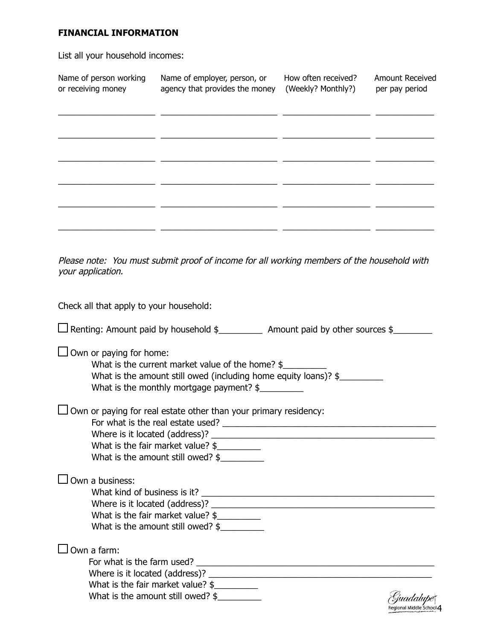#### **FINANCIAL INFORMATION**

List all your household incomes:

| Name of person working<br>or receiving money | Name of employer, person, or<br>agency that provides the money | How often received?<br>(Weekly? Monthly?) | <b>Amount Received</b><br>per pay period |
|----------------------------------------------|----------------------------------------------------------------|-------------------------------------------|------------------------------------------|
|                                              |                                                                |                                           |                                          |
|                                              |                                                                |                                           |                                          |
|                                              |                                                                |                                           |                                          |
|                                              |                                                                |                                           |                                          |
|                                              |                                                                |                                           |                                          |

Please note: You must submit proof of income for all working members of the household with your application.

| Check all that apply to your household:                                                                                                                                                                                 |                                                |
|-------------------------------------------------------------------------------------------------------------------------------------------------------------------------------------------------------------------------|------------------------------------------------|
| $\Box$ Renting: Amount paid by household $\frac{1}{2}$ Amount paid by other sources $\frac{1}{2}$                                                                                                                       |                                                |
| $\Box$ Own or paying for home:<br>What is the current market value of the home? $\frac{2}{3}$<br>What is the amount still owed (including home equity loans)? \$<br>What is the monthly mortgage payment? $\frac{1}{2}$ |                                                |
| $\Box$ Own or paying for real estate other than your primary residency:<br>What is the fair market value? $\frac{1}{2}$<br>What is the amount still owed? \$                                                            |                                                |
| $\Box$ Own a business:<br>What is the fair market value? $\frac{1}{2}$<br>What is the amount still owed? $\frac{2}{3}$                                                                                                  |                                                |
| ⊿Own a farm:<br>What is the fair market value? $\frac{1}{2}$<br>What is the amount still owed? $\frac{1}{2}$                                                                                                            | eqional Middle School $\boldsymbol{\varDelta}$ |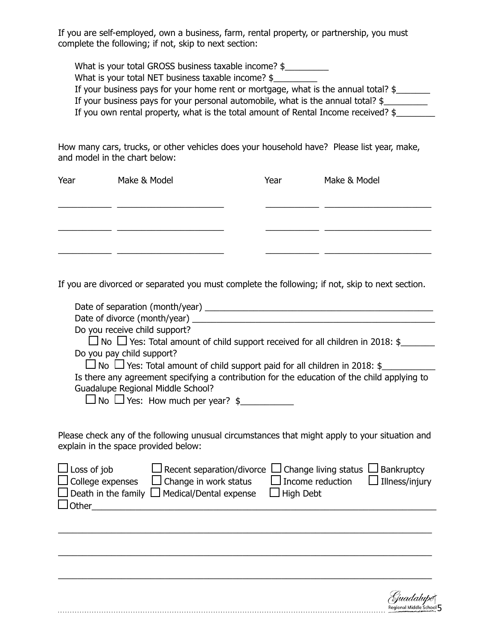If you are self-employed, own a business, farm, rental property, or partnership, you must complete the following; if not, skip to next section:

What is your total GROSS business taxable income? \$

What is your total NET business taxable income? \$

If your business pays for your home rent or mortgage, what is the annual total?  $\frac{2}{2}$ 

If your business pays for your personal automobile, what is the annual total?  $\frac{1}{2}$ 

If you own rental property, what is the total amount of Rental Income received? \$

How many cars, trucks, or other vehicles does your household have? Please list year, make, and model in the chart below:

| Year | Make & Model | Year | Make & Model |
|------|--------------|------|--------------|
|      |              |      |              |
|      |              |      |              |
|      |              |      |              |

If you are divorced or separated you must complete the following; if not, skip to next section.

| Do you receive child support?                                                                                                                                                                                                                                                                                                                                      |
|--------------------------------------------------------------------------------------------------------------------------------------------------------------------------------------------------------------------------------------------------------------------------------------------------------------------------------------------------------------------|
| $\Box$ No $\Box$ Yes: Total amount of child support received for all children in 2018: \$                                                                                                                                                                                                                                                                          |
| Do you pay child support?                                                                                                                                                                                                                                                                                                                                          |
| $\Box$ No $\Box$ Yes: Total amount of child support paid for all children in 2018: \$                                                                                                                                                                                                                                                                              |
| Is there any agreement specifying a contribution for the education of the child applying to                                                                                                                                                                                                                                                                        |
| Guadalupe Regional Middle School?                                                                                                                                                                                                                                                                                                                                  |
| $\Box$ No $\Box$ Yes: How much per year? \$                                                                                                                                                                                                                                                                                                                        |
|                                                                                                                                                                                                                                                                                                                                                                    |
|                                                                                                                                                                                                                                                                                                                                                                    |
| Please check any of the following unusual circumstances that might apply to your situation and<br>explain in the space provided below:                                                                                                                                                                                                                             |
|                                                                                                                                                                                                                                                                                                                                                                    |
| $\Box$ Loss of job $\Box$ Recent separation/divorce $\Box$ Change living status $\Box$ Bankruptcy                                                                                                                                                                                                                                                                  |
| $\Box$ College expenses $\Box$ Change in work status $\Box$ Income reduction $\Box$ Illness/injury                                                                                                                                                                                                                                                                 |
| $\Box$ Death in the family $\Box$ Medical/Dental expense $\Box$ High Debt                                                                                                                                                                                                                                                                                          |
| $\begin{picture}(180,10) \put(0,0){\vector(1,0){100}} \put(15,0){\vector(1,0){100}} \put(15,0){\vector(1,0){100}} \put(15,0){\vector(1,0){100}} \put(15,0){\vector(1,0){100}} \put(15,0){\vector(1,0){100}} \put(15,0){\vector(1,0){100}} \put(15,0){\vector(1,0){100}} \put(15,0){\vector(1,0){100}} \put(15,0){\vector(1,0){100}} \put(15,0){\vector(1,0){100}}$ |
|                                                                                                                                                                                                                                                                                                                                                                    |
|                                                                                                                                                                                                                                                                                                                                                                    |
|                                                                                                                                                                                                                                                                                                                                                                    |
|                                                                                                                                                                                                                                                                                                                                                                    |
|                                                                                                                                                                                                                                                                                                                                                                    |
|                                                                                                                                                                                                                                                                                                                                                                    |
|                                                                                                                                                                                                                                                                                                                                                                    |
|                                                                                                                                                                                                                                                                                                                                                                    |
|                                                                                                                                                                                                                                                                                                                                                                    |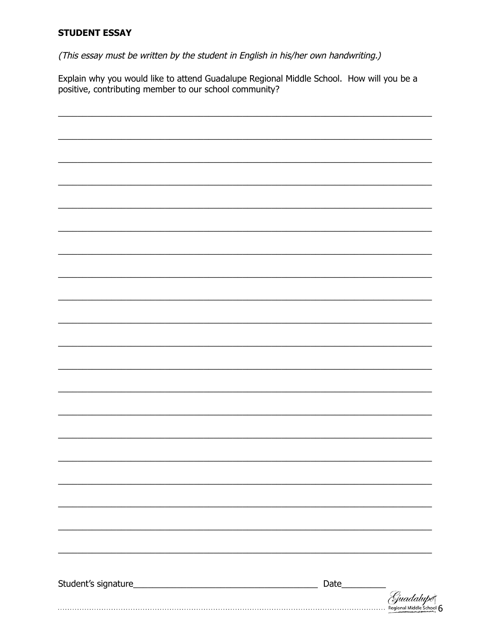#### **STUDENT ESSAY**

(This essay must be written by the student in English in his/her own handwriting.)

Explain why you would like to attend Guadalupe Regional Middle School. How will you be a positive, contributing member to our school community?

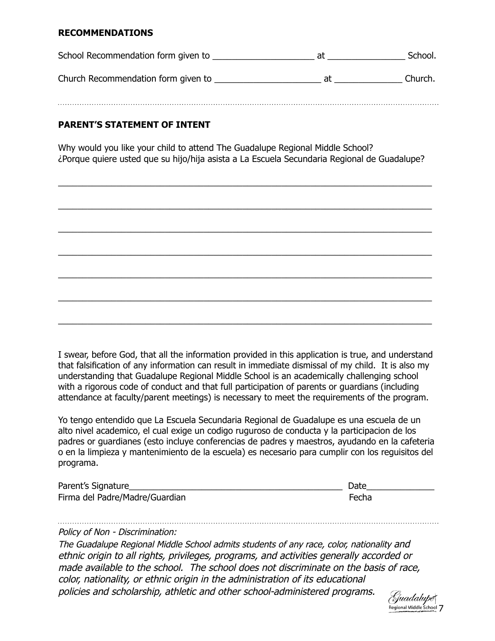#### **RECOMMENDATIONS**

| School Recommendation form given to | School. |
|-------------------------------------|---------|
| Church Recommendation form given to | Church. |
|                                     |         |

#### **PARENT'S STATEMENT OF INTENT**

Why would you like your child to attend The Guadalupe Regional Middle School? ¿Porque quiere usted que su hijo/hija asista a La Escuela Secundaria Regional de Guadalupe?

 $\_$  , and the set of the set of the set of the set of the set of the set of the set of the set of the set of the set of the set of the set of the set of the set of the set of the set of the set of the set of the set of th

\_\_\_\_\_\_\_\_\_\_\_\_\_\_\_\_\_\_\_\_\_\_\_\_\_\_\_\_\_\_\_\_\_\_\_\_\_\_\_\_\_\_\_\_\_\_\_\_\_\_\_\_\_\_\_\_\_\_\_\_\_\_\_\_\_\_\_\_\_\_\_\_\_\_\_\_\_

 $\_$  , and the set of the set of the set of the set of the set of the set of the set of the set of the set of the set of the set of the set of the set of the set of the set of the set of the set of the set of the set of th

 $\_$  , and the set of the set of the set of the set of the set of the set of the set of the set of the set of the set of the set of the set of the set of the set of the set of the set of the set of the set of the set of th

 $\_$  , and the set of the set of the set of the set of the set of the set of the set of the set of the set of the set of the set of the set of the set of the set of the set of the set of the set of the set of the set of th

\_\_\_\_\_\_\_\_\_\_\_\_\_\_\_\_\_\_\_\_\_\_\_\_\_\_\_\_\_\_\_\_\_\_\_\_\_\_\_\_\_\_\_\_\_\_\_\_\_\_\_\_\_\_\_\_\_\_\_\_\_\_\_\_\_\_\_\_\_\_\_\_\_\_\_\_\_

 $\_$  , and the set of the set of the set of the set of the set of the set of the set of the set of the set of the set of the set of the set of the set of the set of the set of the set of the set of the set of the set of th

I swear, before God, that all the information provided in this application is true, and understand that falsification of any information can result in immediate dismissal of my child. It is also my understanding that Guadalupe Regional Middle School is an academically challenging school with a rigorous code of conduct and that full participation of parents or guardians (including attendance at faculty/parent meetings) is necessary to meet the requirements of the program.

Yo tengo entendido que La Escuela Secundaria Regional de Guadalupe es una escuela de un alto nivel academico, el cual exige un codigo ruguroso de conducta y la participacion de los padres or guardianes (esto incluye conferencias de padres y maestros, ayudando en la cafeteria o en la limpieza y mantenimiento de la escuela) es necesario para cumplir con los reguisitos del programa.

| Parent's Signature             | Date  |
|--------------------------------|-------|
| Firma del Padre/Madre/Guardian | Fecha |

Policy of Non - Discrimination:

The Guadalupe Regional Middle School admits students of any race, color, nationality and ethnic origin to all rights, privileges, programs, and activities generally accorded or made available to the school. The school does not discriminate on the basis of race, color, nationality, or ethnic origin in the administration of its educational policies and scholarship, athletic and other school-administered programs.

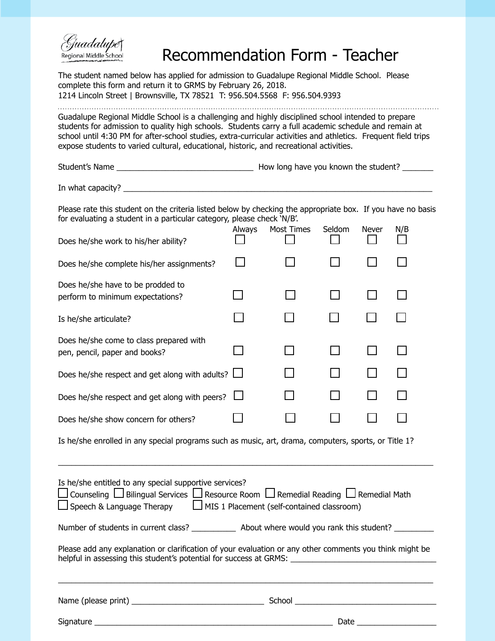'uadalupe\ Regional Middle School

### Recommendation Form - Teacher

The student named below has applied for admission to Guadalupe Regional Middle School. Please complete this form and return it to GRMS by February 26, 2018. 1214 Lincoln Street | Brownsville, TX 78521 T: 956.504.5568 F: 956.504.9393 Guadalupe Regional Middle School is a challenging and highly disciplined school intended to prepare students for admission to quality high schools. Students carry a full academic schedule and remain at school until 4:30 PM for after-school studies, extra-curricular activities and athletics. Frequent field trips expose students to varied cultural, educational, historic, and recreational activities. Student's Name \_\_\_\_\_\_\_\_\_\_\_\_\_\_\_\_\_\_\_\_\_\_\_\_\_\_\_\_\_\_\_ How long have you known the student? \_\_\_\_\_\_\_ In what capacity? \_\_\_\_\_\_\_\_\_\_\_\_\_\_\_\_\_\_\_\_\_\_\_\_\_\_\_\_\_\_\_\_\_\_\_\_\_\_\_\_\_\_\_\_\_\_\_\_\_\_\_\_\_\_\_\_\_\_\_\_\_\_\_\_\_\_\_\_\_\_ Please rate this student on the criteria listed below by checking the appropriate box. If you have no basis for evaluating a student in a particular category, please check 'N/B'. Always Most Times Seldom Never N/B Does he/she work to his/her ability?  $\Box$  $\Box$  $\Box$  $\Box$ П  $\Box$ П П. П  $\mathbf{I}$ Does he/she complete his/her assignments? Does he/she have to be prodded to П П П П  $\Box$ perform to minimum expectations?  $\Box$ П  $\Box$  $\Box$ Is he/she articulate? Does he/she come to class prepared with  $\Box$  $\Box$  $\Box$  $\Box$  $\Box$ pen, pencil, paper and books? Does he/she respect and get along with adults?  $\Box$  $\Box$  $\Box$ П П Does he/she respect and get along with peers?  $\Box$ П  $\Box$  $\Box$ П  $\Box$ П П Does he/she show concern for others? Is he/she enrolled in any special programs such as music, art, drama, computers, sports, or Title 1?  $\_$  , and the state of the state of the state of the state of the state of the state of the state of the state of the state of the state of the state of the state of the state of the state of the state of the state of the Is he/she entitled to any special supportive services?  $\Box$  Counseling  $\Box$  Bilingual Services  $\Box$  Resource Room  $\Box$  Remedial Reading  $\Box$  Remedial Math  $\Box$  Speech & Language Therapy  $\Box$  MIS 1 Placement (self-contained classroom) Number of students in current class? About where would you rank this student? Please add any explanation or clarification of your evaluation or any other comments you think might be helpful in assessing this student's potential for success at GRMS: \_\_\_\_\_\_\_\_\_\_\_\_\_\_\_\_\_\_\_\_\_\_\_\_\_\_\_\_\_\_\_\_\_  $\_$  , and the set of the set of the set of the set of the set of the set of the set of the set of the set of the set of the set of the set of the set of the set of the set of the set of the set of the set of the set of th Name (please print) \_\_\_\_\_\_\_\_\_\_\_\_\_\_\_\_\_\_\_\_\_\_\_\_\_\_\_\_\_\_ School \_\_\_\_\_\_\_\_\_\_\_\_\_\_\_\_\_\_\_\_\_\_\_\_\_\_\_\_\_\_\_\_ Signature \_\_\_\_\_\_\_\_\_\_\_\_\_\_\_\_\_\_\_\_\_\_\_\_\_\_\_\_\_\_\_\_\_\_\_\_\_\_\_\_\_\_\_\_\_\_\_\_\_\_\_\_\_\_ Date \_\_\_\_\_\_\_\_\_\_\_\_\_\_\_\_\_\_